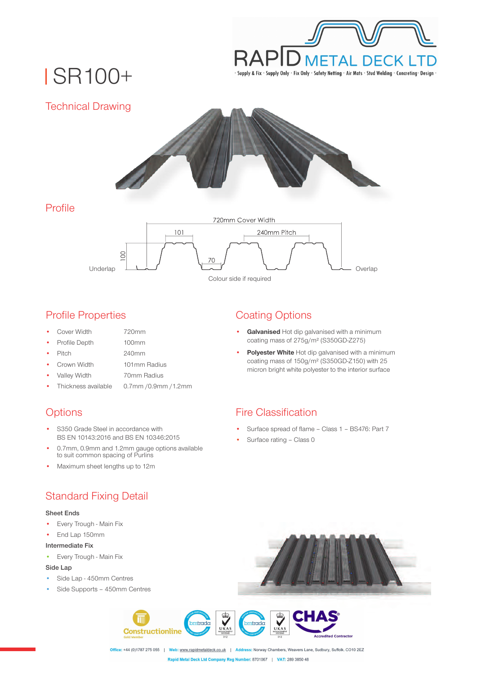

# SR100+



### Profile Properties

- Cover Width
- 720mm 100mm
- Profile Depth • Pitch

240mm

- Crown Width 101mm Radius
- 
- Valley Width 70mm Radius
- Thickness available 0.7mm /0.9mm /1.2mm

# **Options**

- S350 Grade Steel in accordance with BS EN 10143:2016 and BS EN 10346:2015
- 0.7mm, 0.9mm and 1.2mm gauge options available to suit common spacing of Purlins
- Maximum sheet lengths up to 12m

## Standard Fixing Detail

#### **Sheet Ends**

- Every Trough Main Fix
- End Lap 150mm

#### **Intermediate Fix**

• Every Trough - Main Fix

### **Side Lap**

- Side Lap 450mm Centres
- Side Supports 450mm Centres

# Coating Options

- **Galvanised** Hot dip galvanised with a minimum coating mass of 275g/m² (S350GD-Z275)
- **Polyester White** Hot dip galvanised with a minimum coating mass of 150g/m² (S350GD-Z150) with 25 micron bright white polyester to the interior surface

## Fire Classification

- Surface spread of flame Class 1 BS476: Part 7
- Surface rating Class 0



Office: +44 (0)1787 275 055 | Web: www.rapidmetaldeck.co.uk | Address: Norway Chambers, Weavers Lane, Sudbury, Suffolk. CO10 2EZ Rapid Metal Deck Ltd Company Reg Number: 8701067 | VAT: 289 3850 48